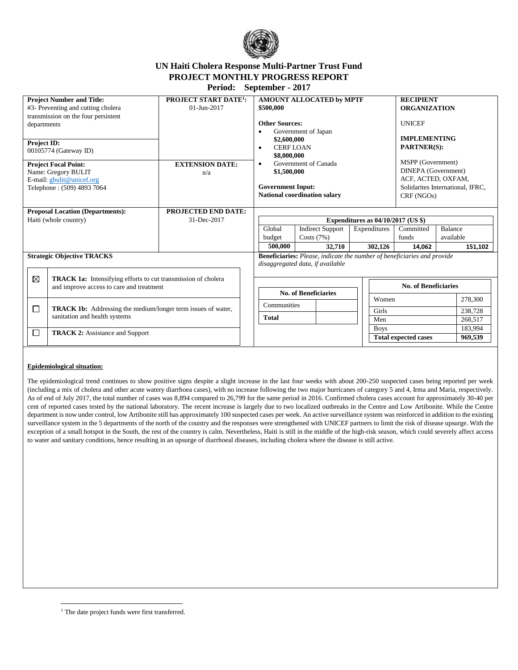

# **UN Haiti Cholera Response Multi-Partner Trust Fund PROJECT MONTHLY PROGRESS REPORT**

**Period: September - 2017**

| <b>Project Number and Title:</b><br>#3- Preventing and cutting cholera<br>transmission on the four persistent |                                                                                                                                 | <b>PROJECT START DATE<sup>1</sup>:</b><br>$01 - Jun - 2017$ | <b>AMOUNT ALLOCATED by MPTF</b><br>\$500,000                                                                                                                                                                               |                                         |  | <b>RECIPIENT</b><br><b>ORGANIZATION</b>                                                                          |                             |                      |                    |
|---------------------------------------------------------------------------------------------------------------|---------------------------------------------------------------------------------------------------------------------------------|-------------------------------------------------------------|----------------------------------------------------------------------------------------------------------------------------------------------------------------------------------------------------------------------------|-----------------------------------------|--|------------------------------------------------------------------------------------------------------------------|-----------------------------|----------------------|--------------------|
| departments                                                                                                   |                                                                                                                                 |                                                             | <b>Other Sources:</b><br>Government of Japan<br>\$2,600,000<br><b>CERFIOAN</b><br>$\bullet$<br>\$8,000,000<br>Government of Canada<br>$\bullet$<br>\$1,500,000<br><b>Government Input:</b><br>National coordination salary |                                         |  | <b>UNICEF</b><br><b>IMPLEMENTING</b><br><b>PARTNER(S):</b>                                                       |                             |                      |                    |
| Project ID:<br>00105774 (Gateway ID)                                                                          |                                                                                                                                 |                                                             |                                                                                                                                                                                                                            |                                         |  |                                                                                                                  |                             |                      |                    |
| <b>Project Focal Point:</b><br>Name: Gregory BULIT<br>E-mail: gbulit@unicef.org<br>Telephone: (509) 4893 7064 |                                                                                                                                 | <b>EXTENSION DATE:</b><br>n/a                               |                                                                                                                                                                                                                            |                                         |  | MSPP (Government)<br>DINEPA (Government)<br>ACF, ACTED, OXFAM,<br>Solidarites International, IFRC,<br>CRF (NGOs) |                             |                      |                    |
| <b>Proposal Location (Departments):</b>                                                                       |                                                                                                                                 | <b>PROJECTED END DATE:</b>                                  |                                                                                                                                                                                                                            |                                         |  |                                                                                                                  |                             |                      |                    |
| Haiti (whole country)                                                                                         |                                                                                                                                 | 31-Dec-2017                                                 | Expenditures as $04/10/2017$ (US \$)                                                                                                                                                                                       |                                         |  |                                                                                                                  |                             |                      |                    |
|                                                                                                               |                                                                                                                                 |                                                             | Global<br>budget                                                                                                                                                                                                           | <b>Indirect Support</b><br>Costs $(7%)$ |  | Expenditures                                                                                                     | Committed<br>funds          | Balance<br>available |                    |
|                                                                                                               |                                                                                                                                 |                                                             | 500,000                                                                                                                                                                                                                    | 32,710                                  |  | 302,126                                                                                                          | 14,062                      |                      | 151,102            |
| <b>Strategic Objective TRACKS</b>                                                                             |                                                                                                                                 |                                                             | <b>Beneficiaries:</b> Please, indicate the number of beneficiaries and provide<br>disaggregated data, if available                                                                                                         |                                         |  |                                                                                                                  |                             |                      |                    |
|                                                                                                               | $\boxtimes$<br><b>TRACK 1a:</b> Intensifying efforts to cut transmission of cholera<br>and improve access to care and treatment |                                                             | <b>No. of Beneficiaries</b>                                                                                                                                                                                                |                                         |  | No. of Beneficiaries                                                                                             |                             |                      |                    |
|                                                                                                               |                                                                                                                                 | Communities                                                 |                                                                                                                                                                                                                            | Women                                   |  |                                                                                                                  | 278,300                     |                      |                    |
| □                                                                                                             | <b>TRACK 1b:</b> Addressing the medium/longer term issues of water,<br>sanitation and health systems                            |                                                             | <b>Total</b>                                                                                                                                                                                                               |                                         |  | Girls                                                                                                            |                             |                      | 238,728            |
|                                                                                                               |                                                                                                                                 |                                                             |                                                                                                                                                                                                                            |                                         |  | Men                                                                                                              |                             |                      | 268,517            |
| $\Box$                                                                                                        | <b>TRACK 2:</b> Assistance and Support                                                                                          |                                                             |                                                                                                                                                                                                                            |                                         |  | <b>Boys</b>                                                                                                      | <b>Total expected cases</b> |                      | 183,994<br>969,539 |

#### **Epidemiological situation:**

The epidemiological trend continues to show positive signs despite a slight increase in the last four weeks with about 200-250 suspected cases being reported per week (including a mix of cholera and other acute watery diarrhoea cases), with no increase following the two major hurricanes of category 5 and 4, Irma and Maria, respectively. As of end of July 2017, the total number of cases was 8,894 compared to 26,799 for the same period in 2016. Confirmed cholera cases account for approximately 30-40 per cent of reported cases tested by the national laboratory. The recent increase is largely due to two localized outbreaks in the Centre and Low Artibonite. While the Centre department is now under control, low Artibonite still has approximately 100 suspected cases per week. An active surveillance system was reinforced in addition to the existing surveillance system in the 5 departments of the north of the country and the responses were strengthened with UNICEF partners to limit the risk of disease upsurge. With the exception of a small hotspot in the South, the rest of the country is calm. Nevertheless, Haiti is still in the middle of the high-risk season, which could severely affect access to water and sanitary conditions, hence resulting in an upsurge of diarrhoeal diseases, including cholera where the disease is still active.

 $\overline{\phantom{a}}$ <sup>1</sup> The date project funds were first transferred.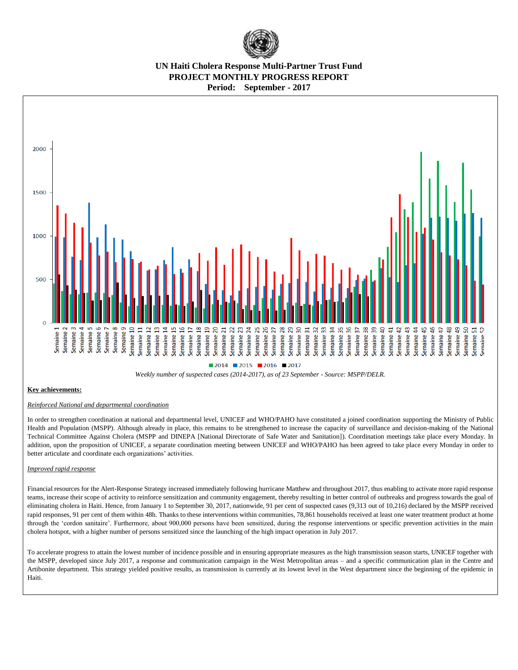

## **UN Haiti Cholera Response Multi-Partner Trust Fund PROJECT MONTHLY PROGRESS REPORT Period: September - 2017**



#### **Key achievements:**

#### *Reinforced National and departmental coordination*

In order to strengthen coordination at national and departmental level, UNICEF and WHO/PAHO have constituted a joined coordination supporting the Ministry of Public Health and Population (MSPP). Although already in place, this remains to be strengthened to increase the capacity of surveillance and decision-making of the National Technical Committee Against Cholera (MSPP and DINEPA [National Directorate of Safe Water and Sanitation]). Coordination meetings take place every Monday. In addition, upon the proposition of UNICEF, a separate coordination meeting between UNICEF and WHO/PAHO has been agreed to take place every Monday in order to better articulate and coordinate each organizations' activities.

#### *Improved rapid response*

Financial resources for the Alert-Response Strategy increased immediately following hurricane Matthew and throughout 2017, thus enabling to activate more rapid response teams, increase their scope of activity to reinforce sensitization and community engagement, thereby resulting in better control of outbreaks and progress towards the goal of eliminating cholera in Haiti. Hence, from January 1 to September 30, 2017, nationwide, 91 per cent of suspected cases (9,313 out of 10,216) declared by the MSPP received rapid responses, 91 per cent of them within 48h. Thanks to these interventions within communities, 78,861 households received at least one water treatment product at home through the 'cordon sanitaire'. Furthermore, about 900,000 persons have been sensitized, during the response interventions or specific prevention activities in the main cholera hotspot, with a higher number of persons sensitized since the launching of the high impact operation in July 2017.

To accelerate progress to attain the lowest number of incidence possible and in ensuring appropriate measures as the high transmission season starts, UNICEF together with the MSPP, developed since July 2017, a response and communication campaign in the West Metropolitan areas – and a specific communication plan in the Centre and Artibonite department. This strategy yielded positive results, as transmission is currently at its lowest level in the West department since the beginning of the epidemic in Haiti.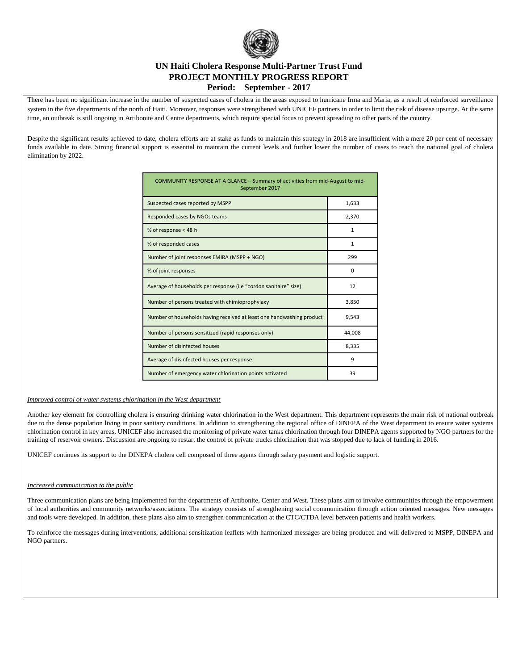

### **UN Haiti Cholera Response Multi-Partner Trust Fund PROJECT MONTHLY PROGRESS REPORT Period: September - 2017**

There has been no significant increase in the number of suspected cases of cholera in the areas exposed to hurricane Irma and Maria, as a result of reinforced surveillance system in the five departments of the north of Haiti. Moreover, responses were strengthened with UNICEF partners in order to limit the risk of disease upsurge. At the same time, an outbreak is still ongoing in Artibonite and Centre departments, which require special focus to prevent spreading to other parts of the country.

Despite the significant results achieved to date, cholera efforts are at stake as funds to maintain this strategy in 2018 are insufficient with a mere 20 per cent of necessary funds available to date. Strong financial support is essential to maintain the current levels and further lower the number of cases to reach the national goal of cholera elimination by 2022.

| COMMUNITY RESPONSE AT A GLANCE - Summary of activities from mid-August to mid-<br>September 2017 |              |  |  |  |  |
|--------------------------------------------------------------------------------------------------|--------------|--|--|--|--|
| Suspected cases reported by MSPP                                                                 | 1,633        |  |  |  |  |
| Responded cases by NGOs teams                                                                    | 2,370        |  |  |  |  |
| % of response < 48 h                                                                             | $\mathbf{1}$ |  |  |  |  |
| % of responded cases                                                                             | $\mathbf{1}$ |  |  |  |  |
| Number of joint responses EMIRA (MSPP + NGO)                                                     | 299          |  |  |  |  |
| % of joint responses                                                                             | $\Omega$     |  |  |  |  |
| Average of households per response (i.e "cordon sanitaire" size)                                 | 12           |  |  |  |  |
| Number of persons treated with chimioprophylaxy                                                  | 3,850        |  |  |  |  |
| Number of households having received at least one handwashing product                            | 9,543        |  |  |  |  |
| Number of persons sensitized (rapid responses only)                                              | 44,008       |  |  |  |  |
| Number of disinfected houses                                                                     | 8,335        |  |  |  |  |
| Average of disinfected houses per response                                                       | 9            |  |  |  |  |
| Number of emergency water chlorination points activated                                          | 39           |  |  |  |  |

#### *Improved control of water systems chlorination in the West department*

Another key element for controlling cholera is ensuring drinking water chlorination in the West department. This department represents the main risk of national outbreak due to the dense population living in poor sanitary conditions. In addition to strengthening the regional office of DINEPA of the West department to ensure water systems chlorination control in key areas, UNICEF also increased the monitoring of private water tanks chlorination through four DINEPA agents supported by NGO partners for the training of reservoir owners. Discussion are ongoing to restart the control of private trucks chlorination that was stopped due to lack of funding in 2016.

UNICEF continues its support to the DINEPA cholera cell composed of three agents through salary payment and logistic support.

#### *Increased communication to the public*

Three communication plans are being implemented for the departments of Artibonite, Center and West. These plans aim to involve communities through the empowerment of local authorities and community networks/associations. The strategy consists of strengthening social communication through action oriented messages. New messages and tools were developed. In addition, these plans also aim to strengthen communication at the CTC/CTDA level between patients and health workers.

To reinforce the messages during interventions, additional sensitization leaflets with harmonized messages are being produced and will delivered to MSPP, DINEPA and NGO partners.